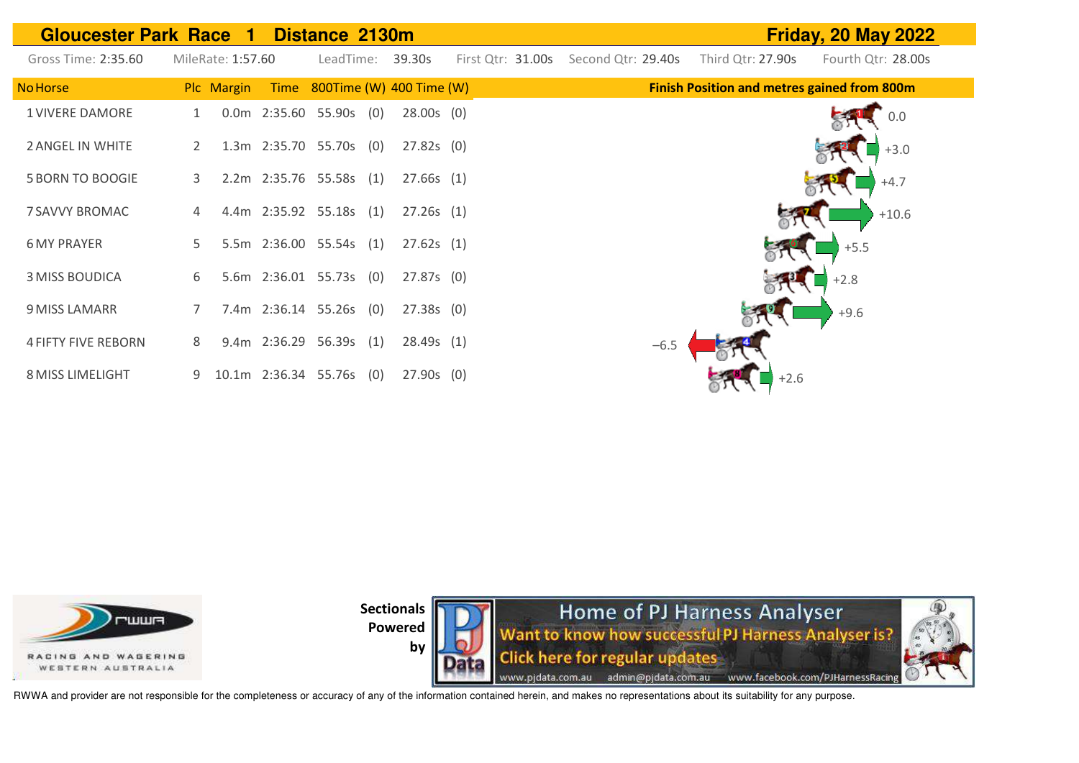| <b>Gloucester Park Race 1</b> |                   |                           | Distance 2130m                | <b>Friday, 20 May 2022</b> |                   |                    |                                                    |                    |
|-------------------------------|-------------------|---------------------------|-------------------------------|----------------------------|-------------------|--------------------|----------------------------------------------------|--------------------|
| Gross Time: 2:35.60           | MileRate: 1:57.60 |                           | LeadTime:                     | 39.30s                     | First Qtr: 31.00s | Second Qtr: 29.40s | Third Qtr: 27.90s                                  | Fourth Qtr: 28.00s |
| <b>No Horse</b>               | Plc Margin        |                           | Time 800Time (W) 400 Time (W) |                            |                   |                    | <b>Finish Position and metres gained from 800m</b> |                    |
| <b>1 VIVERE DAMORE</b>        | 1                 | $0.0m$ 2:35.60 55.90s (0) |                               | $28.00s$ (0)               |                   |                    |                                                    | 0.0                |
| 2 ANGEL IN WHITE              | $\overline{2}$    | 1.3m 2:35.70 55.70s (0)   |                               | $27.82s$ (0)               |                   |                    |                                                    | $+3.0$             |
| <b>5 BORN TO BOOGIE</b>       | 3                 | 2.2m 2:35.76 55.58s (1)   |                               | 27.66s(1)                  |                   |                    |                                                    | $+4.7$             |
| 7 SAVVY BROMAC                | 4                 | 4.4m 2:35.92 55.18s (1)   |                               | 27.26s(1)                  |                   |                    |                                                    | $+10.6$            |
| <b>6 MY PRAYER</b>            | 5.                | 5.5m 2:36.00 55.54s (1)   |                               | 27.62s(1)                  |                   |                    |                                                    | $+5.5$             |
| <b>3 MISS BOUDICA</b>         | 6                 | 5.6m 2:36.01 55.73s (0)   |                               | 27.87s(0)                  |                   |                    |                                                    | $+2.8$             |
| 9 MISS LAMARR                 |                   | 7.4m 2:36.14 55.26s (0)   |                               | $27.38s$ (0)               |                   |                    |                                                    | $+9.6$             |
| <b>4 FIFTY FIVE REBORN</b>    | 8                 | 9.4m 2:36.29 56.39s (1)   |                               | 28.49s(1)                  |                   | $-6.5$             |                                                    |                    |
| <b>8 MISS LIMELIGHT</b>       | 9                 | 10.1m 2:36.34 55.76s (0)  |                               | $27.90s$ (0)               |                   |                    | $+2.6$                                             |                    |



**by** 

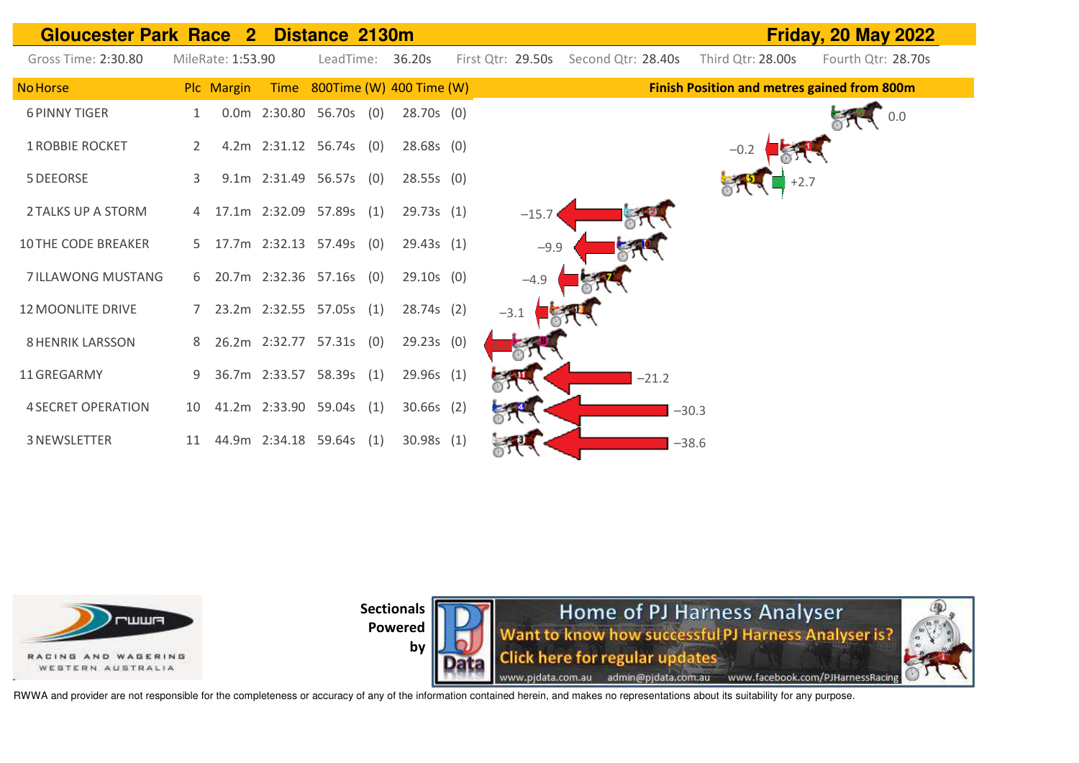



**by** 

Home of PJ Harness Analyser Want to know how successful PJ Harness Analyser is? **Click here for regular updates** www.pjdata.com.au admin@pjdata.com.au www.facebook.com/PJHarnessRacing

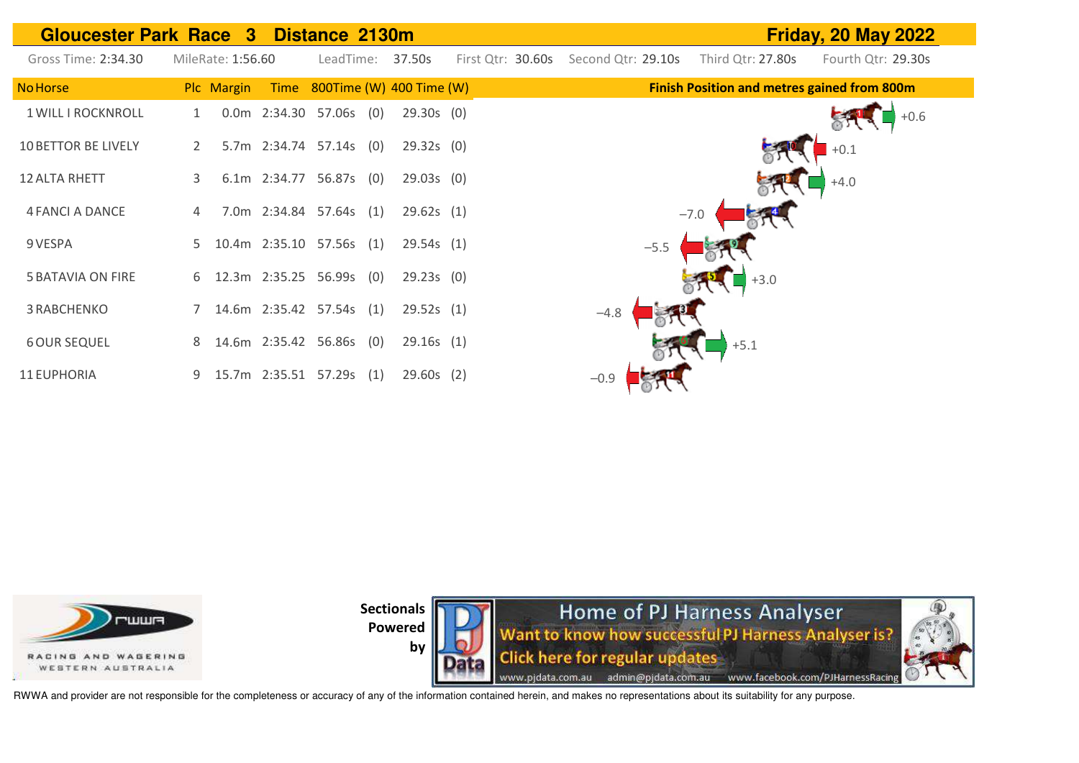| <b>Gloucester Park Race 3 Distance 2130m</b> |    |                   |                           |            |     |                               |                   |                    |                                                    | <b>Friday, 20 May 2022</b> |
|----------------------------------------------|----|-------------------|---------------------------|------------|-----|-------------------------------|-------------------|--------------------|----------------------------------------------------|----------------------------|
| Gross Time: 2:34.30                          |    | MileRate: 1:56.60 |                           | LeadTime:  |     | 37.50s                        | First Qtr: 30.60s | Second Qtr: 29.10s | Third Qtr: 27.80s                                  | Fourth Qtr: 29.30s         |
| <b>No Horse</b>                              |    | Plc Margin        |                           |            |     | Time 800Time (W) 400 Time (W) |                   |                    | <b>Finish Position and metres gained from 800m</b> |                            |
| 1 WILL I ROCKNROLL                           | 1  |                   | $0.0m$ 2:34.30 57.06s (0) |            |     | $29.30s$ (0)                  |                   |                    |                                                    | $+0.6$                     |
| <b>10 BETTOR BE LIVELY</b>                   | 2  |                   | 5.7m 2:34.74 57.14s (0)   |            |     | $29.32s$ (0)                  |                   |                    |                                                    | $+0.1$                     |
| <b>12 ALTA RHETT</b>                         | 3  |                   | 6.1m 2:34.77              | 56.87s (0) |     | $29.03s$ (0)                  |                   |                    |                                                    | $+4.0$                     |
| 4 FANCI A DANCE                              |    |                   | 7.0m 2:34.84 57.64s (1)   |            |     | 29.62s(1)                     |                   |                    | $-7.0$                                             |                            |
| 9 VESPA                                      | 5. |                   | 10.4m 2:35.10 57.56s (1)  |            |     | 29.54s(1)                     |                   | $-5.5$             |                                                    |                            |
| <b>5 BATAVIA ON FIRE</b>                     | 6  |                   | 12.3m 2:35.25 56.99s (0)  |            |     | 29.23s(0)                     |                   |                    | $\Box$ +3.0                                        |                            |
| 3 RABCHENKO                                  |    |                   | 14.6m 2:35.42 57.54s (1)  |            |     | 29.52s(1)                     |                   | $-4.8$             |                                                    |                            |
| <b>6 OUR SEQUEL</b>                          | 8  |                   | 14.6m 2:35.42 56.86s (0)  |            |     | 29.16s(1)                     |                   |                    | $+5.1$                                             |                            |
| 11 EUPHORIA                                  | 9  |                   | 15.7m 2:35.51             | 57.29s     | (1) | $29.60s$ (2)                  |                   | $-0.9$             |                                                    |                            |

**FILILIER** RACING AND WASERING WESTERN AUSTRALIA

**Sectionals Powered** 





RWWA and provider are not responsible for the completeness or accuracy of any of the information contained herein, and makes no representations about its suitability for any purpose.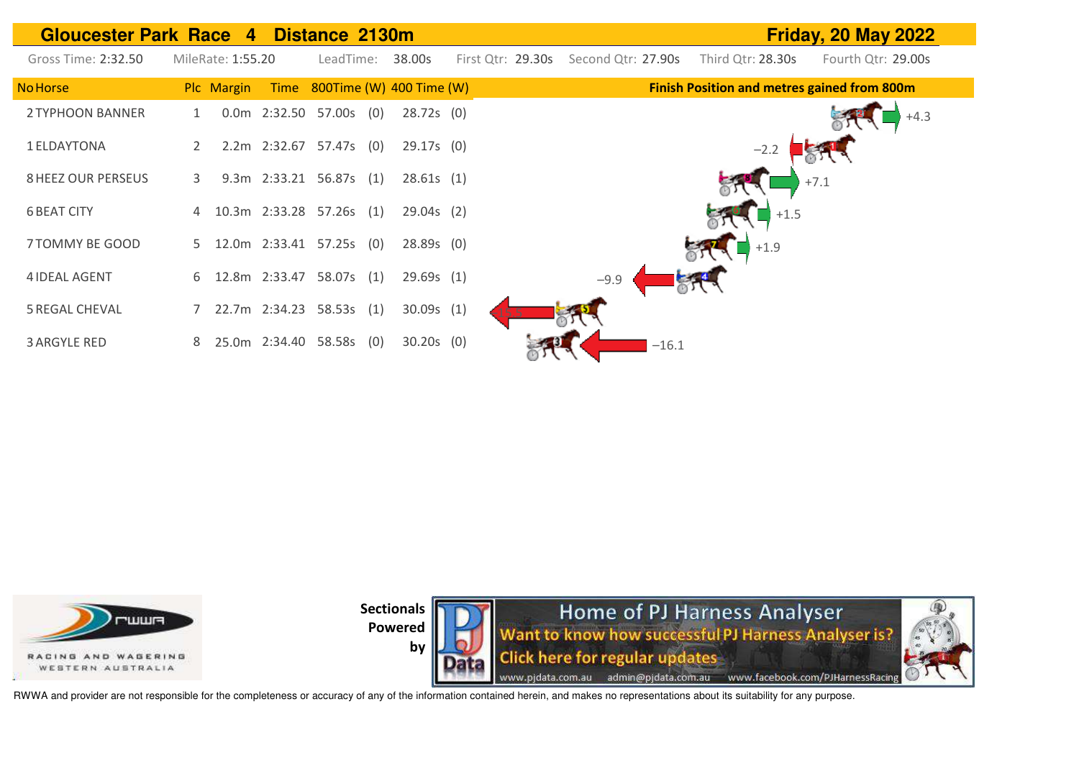| <b>Gloucester Park Race 4</b> |                           | Distance 2130m                |                   |                    |                                                    | <b>Friday, 20 May 2022</b> |
|-------------------------------|---------------------------|-------------------------------|-------------------|--------------------|----------------------------------------------------|----------------------------|
| Gross Time: 2:32.50           | MileRate: 1:55.20         | 38.00s<br>LeadTime:           | First Qtr: 29.30s | Second Qtr: 27.90s | Third Qtr: 28.30s                                  | Fourth Qtr: 29.00s         |
| <b>No Horse</b>               | Plc Margin                | Time 800Time (W) 400 Time (W) |                   |                    | <b>Finish Position and metres gained from 800m</b> |                            |
| 2 TYPHOON BANNER              | 0.0m  2:32.50  57.00s     | (0)                           | 28.72s(0)         |                    |                                                    | $+4.3$                     |
| 1 ELDAYTONA                   |                           | 2.2m 2:32.67 57.47s (0)       | $29.17s$ (0)      |                    |                                                    |                            |
| <b>8 HEEZ OUR PERSEUS</b>     | 3                         | 9.3m 2:33.21 56.87s (1)       | 28.61s(1)         |                    | $+7.1$                                             |                            |
| <b>6 BEAT CITY</b>            |                           | 10.3m 2:33.28 57.26s (1)      | $29.04s$ (2)      |                    | $+1.5$                                             |                            |
| 7 TOMMY BE GOOD               | 5                         | 12.0m 2:33.41 57.25s (0)      | $28.89s$ (0)      |                    | $\rightarrow$ +1.9                                 |                            |
| <b>4 IDEAL AGENT</b>          | 12.8m 2:33.47<br>6        | 58.07s (1)                    | 29.69s(1)         | $-9.9$             |                                                    |                            |
| <b>5 REGAL CHEVAL</b>         |                           | 22.7m 2:34.23 58.53s (1)      | 30.09s(1)         |                    |                                                    |                            |
| <b>3 ARGYLE RED</b>           | 25.0m 2:34.40 58.58s<br>8 | (0)                           | $30.20s$ (0)      | $-16.1$            |                                                    |                            |





RWWA and provider are not responsible for the completeness or accuracy of any of the information contained herein, and makes no representations about its suitability for any purpose.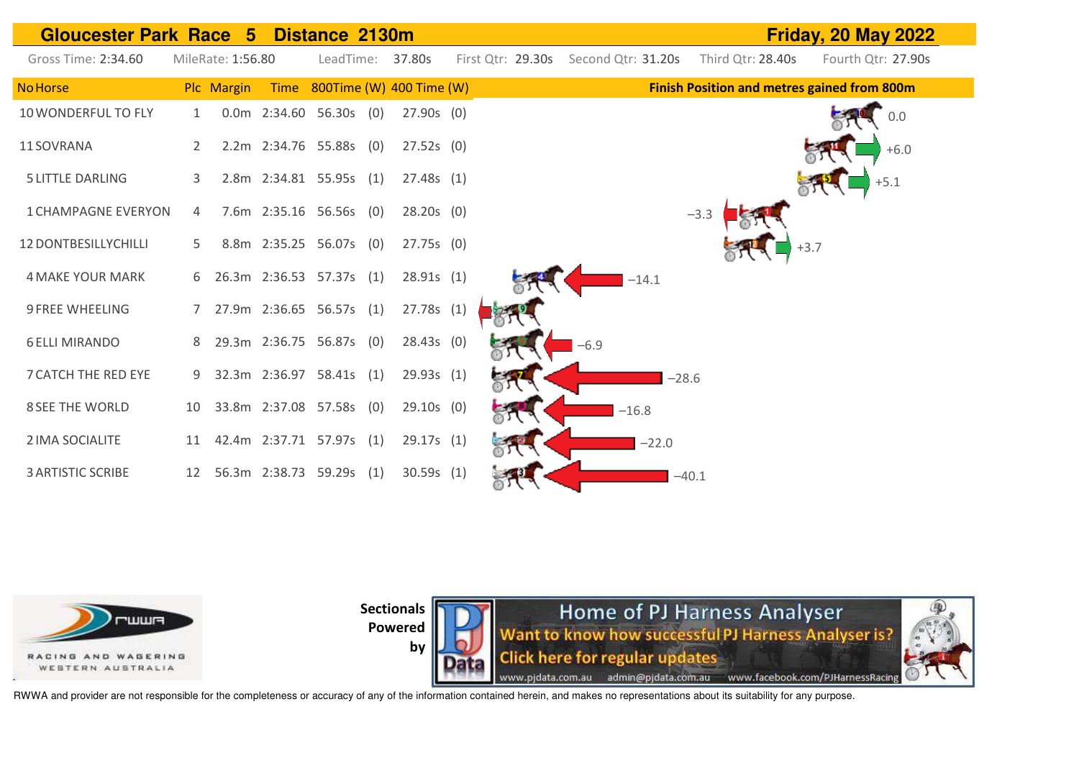



**Sectionals** 

**Powered by** 

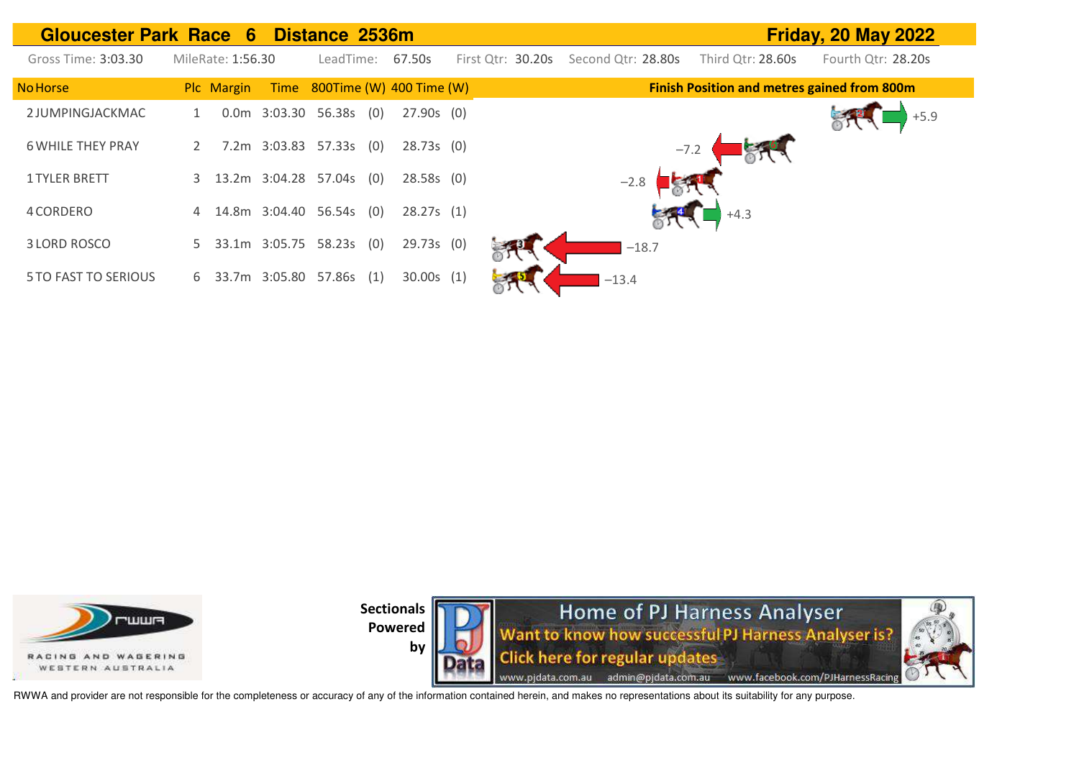| <b>Gloucester Park Race 6</b> |                   |               | Distance 2536m                |              |                   |                    |        |                                                    | Friday, 20 May 2022 |
|-------------------------------|-------------------|---------------|-------------------------------|--------------|-------------------|--------------------|--------|----------------------------------------------------|---------------------|
| Gross Time: 3:03.30           | MileRate: 1:56.30 |               | LeadTime:                     | 67.50s       | First Qtr: 30.20s | Second Qtr: 28.80s |        | Third Otr: 28.60s                                  | Fourth Qtr: 28.20s  |
| <b>No Horse</b>               | Plc Margin        |               | Time 800Time (W) 400 Time (W) |              |                   |                    |        | <b>Finish Position and metres gained from 800m</b> |                     |
| 2 JUMPINGJACKMAC              |                   |               | 0.0m 3:03.30 56.38s (0)       | $27.90s$ (0) |                   |                    |        |                                                    |                     |
| <b>6 WHILE THEY PRAY</b>      |                   |               | 7.2m 3:03.83 57.33s (0)       | 28.73s(0)    |                   |                    | $-7.2$ |                                                    |                     |
| <b>1 TYLER BRETT</b>          | 3                 |               | 13.2m 3:04.28 57.04s (0)      | 28.58s(0)    |                   | $-2.8$             |        |                                                    |                     |
| 4 CORDERO                     | 4                 |               | 14.8m 3:04.40 56.54s (0)      | 28.27s(1)    |                   |                    |        | $+4.3$                                             |                     |
| 3 LORD ROSCO                  | 5                 | 33.1m 3:05.75 | 58.23s(0)                     | 29.73s (0)   |                   | $-18.7$            |        |                                                    |                     |
| <b>5 TO FAST TO SERIOUS</b>   | 6                 |               | 33.7m 3:05.80 57.86s (1)      | 30.00s(1)    |                   | $-13.4$            |        |                                                    |                     |



**by** 

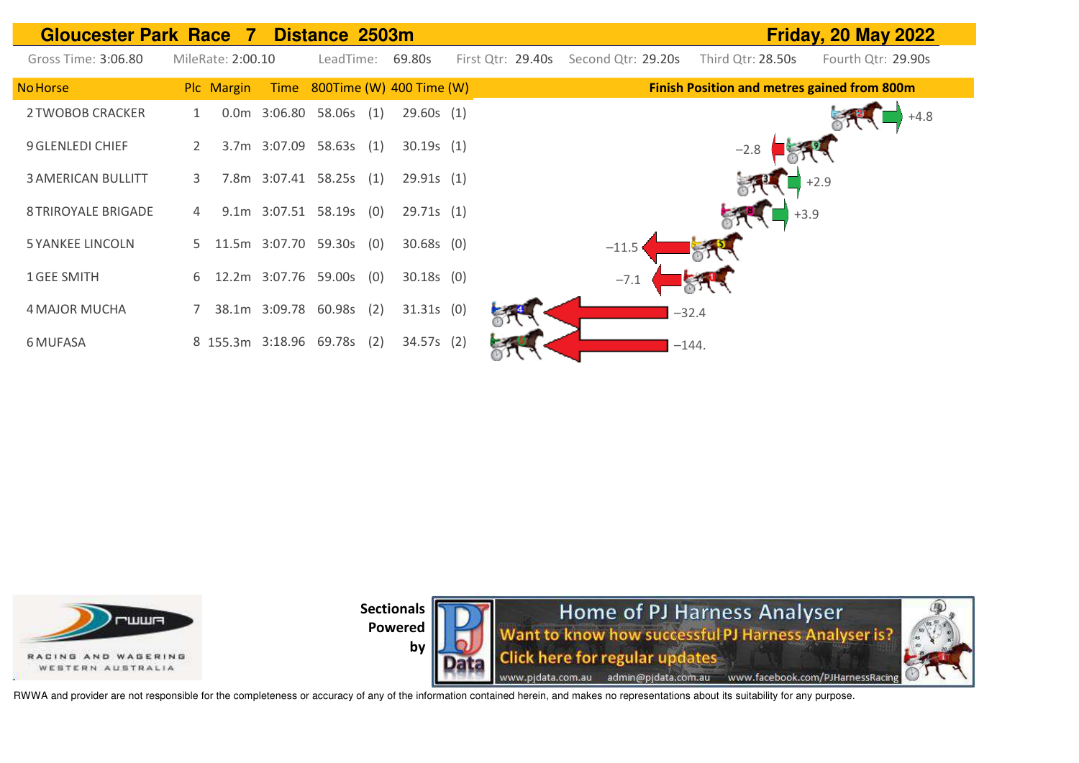



**by** 

Home of PJ Harness Analyser Want to know how successful PJ Harness Analyser is? Click here for regular updates www.pjdata.com.au admin@pjdata.com.au www.facebook.com/PJHarnessRacing

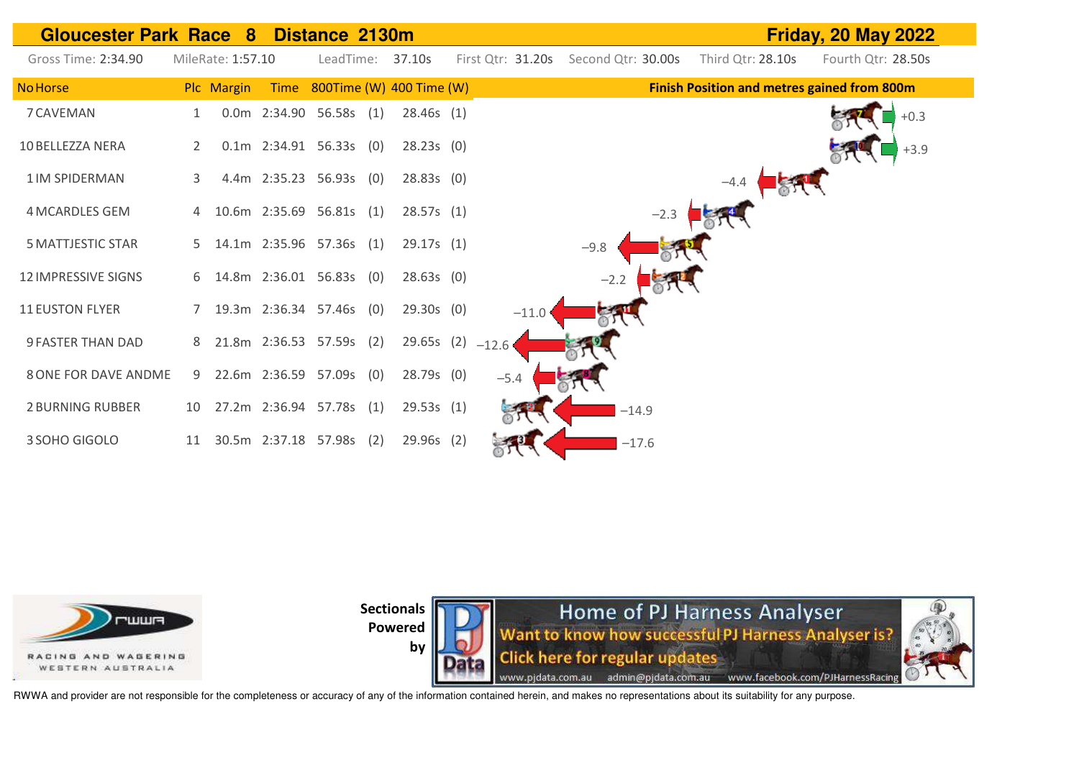



**by** 

Home of PJ Harness Analyser Want to know how successful PJ Harness Analyser is? **Click here for regular updates** www.pjdata.com.au admin@pjdata.com.au www.facebook.com/PJHarnessRacing

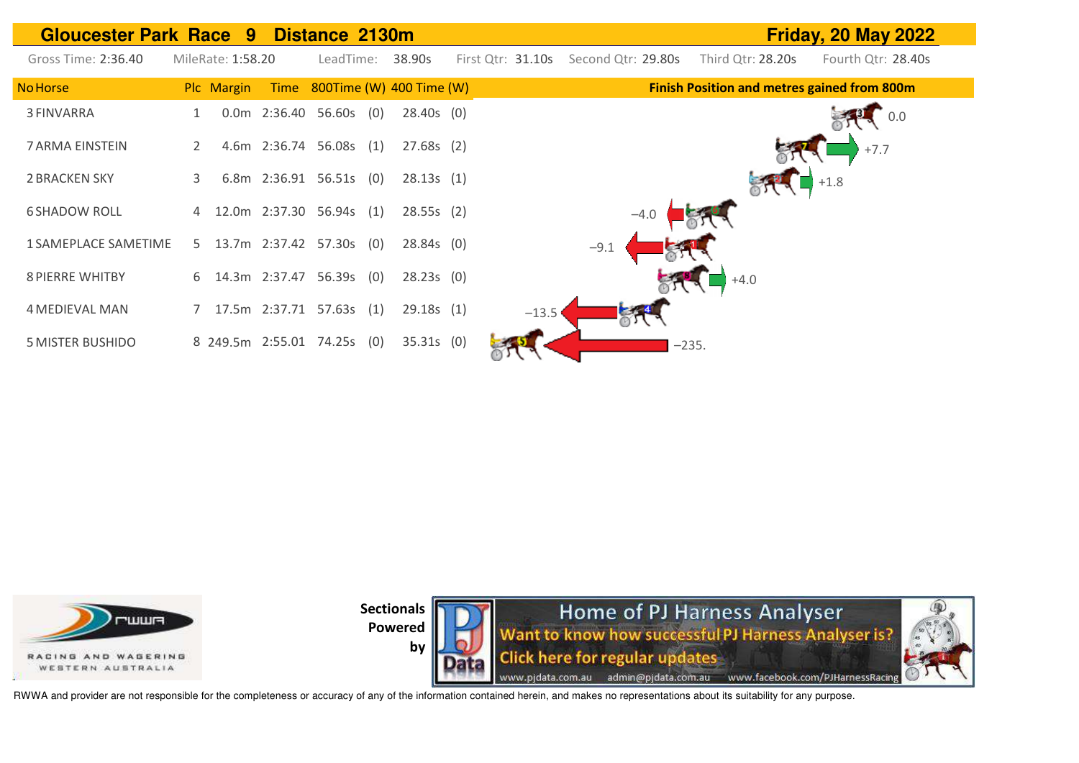| <b>Gloucester Park Race 9</b> |    |                   |             | Distance 2130m           |     |                          | <b>Friday, 20 May 2022</b> |                    |                                                    |                    |
|-------------------------------|----|-------------------|-------------|--------------------------|-----|--------------------------|----------------------------|--------------------|----------------------------------------------------|--------------------|
| Gross Time: 2:36.40           |    | MileRate: 1:58.20 |             | LeadTime:                |     | 38.90s                   | First Qtr: 31.10s          | Second Qtr: 29.80s | Third Qtr: 28.20s                                  | Fourth Qtr: 28.40s |
| No Horse                      |    | Plc Margin        | <b>Time</b> |                          |     | 800Time (W) 400 Time (W) |                            |                    | <b>Finish Position and metres gained from 800m</b> |                    |
| 3 FINVARRA                    |    |                   |             | 0.0m 2:36.40 56.60s      | (0) | $28.40s$ (0)             |                            |                    |                                                    | 0.0                |
| 7 ARMA EINSTEIN               | 2  |                   |             | 4.6m 2:36.74 56.08s (1)  |     | $27.68s$ (2)             |                            |                    |                                                    | $+7.7$             |
| <b>2 BRACKEN SKY</b>          | 3  |                   |             | 6.8m 2:36.91 56.51s (0)  |     | 28.13s(1)                |                            |                    |                                                    | $+1.8$             |
| <b>6 SHADOW ROLL</b>          | 4  |                   |             | 12.0m 2:37.30 56.94s (1) |     | 28.55s(2)                |                            | $-4.0$             |                                                    |                    |
| 1 SAMEPLACE SAMETIME          | 5. |                   |             | 13.7m 2:37.42 57.30s (0) |     | $28.84s$ (0)             |                            | $-9.1$             |                                                    |                    |
| <b>8 PIERRE WHITBY</b>        | 6. |                   |             | 14.3m 2:37.47 56.39s (0) |     | 28.23s(0)                |                            |                    | $+4.0$                                             |                    |
| <b>4 MEDIEVAL MAN</b>         |    |                   |             | 17.5m 2:37.71 57.63s (1) |     | 29.18s(1)                | $-13.5$                    |                    |                                                    |                    |
| <b>5 MISTER BUSHIDO</b>       |    |                   |             | 8 249.5m 2:55.01 74.25s  | (0) | $35.31s$ (0)             |                            |                    | $-235.$                                            |                    |







RWWA and provider are not responsible for the completeness or accuracy of any of the information contained herein, and makes no representations about its suitability for any purpose.